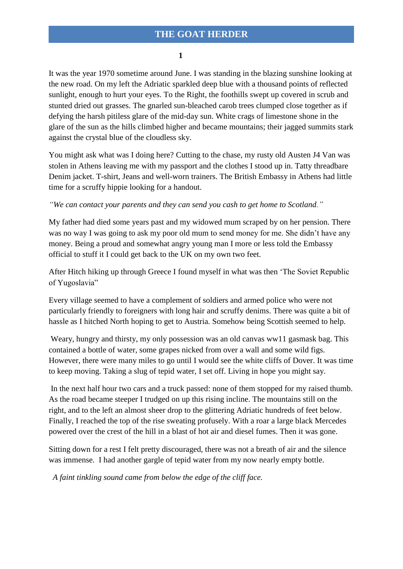## **THE GOAT HERDER**

**1** 

It was the year 1970 sometime around June. I was standing in the blazing sunshine looking at the new road. On my left the Adriatic sparkled deep blue with a thousand points of reflected sunlight, enough to hurt your eyes. To the Right, the foothills swept up covered in scrub and stunted dried out grasses. The gnarled sun-bleached carob trees clumped close together as if defying the harsh pitiless glare of the mid-day sun. White crags of limestone shone in the glare of the sun as the hills climbed higher and became mountains; their jagged summits stark against the crystal blue of the cloudless sky.

You might ask what was I doing here? Cutting to the chase, my rusty old Austen J4 Van was stolen in Athens leaving me with my passport and the clothes I stood up in. Tatty threadbare Denim jacket. T-shirt, Jeans and well-worn trainers. The British Embassy in Athens had little time for a scruffy hippie looking for a handout.

*"We can contact your parents and they can send you cash to get home to Scotland."*

My father had died some years past and my widowed mum scraped by on her pension. There was no way I was going to ask my poor old mum to send money for me. She didn't have any money. Being a proud and somewhat angry young man I more or less told the Embassy official to stuff it I could get back to the UK on my own two feet.

After Hitch hiking up through Greece I found myself in what was then 'The Soviet Republic of Yugoslavia"

Every village seemed to have a complement of soldiers and armed police who were not particularly friendly to foreigners with long hair and scruffy denims. There was quite a bit of hassle as I hitched North hoping to get to Austria. Somehow being Scottish seemed to help.

Weary, hungry and thirsty, my only possession was an old canvas ww11 gasmask bag. This contained a bottle of water, some grapes nicked from over a wall and some wild figs. However, there were many miles to go until I would see the white cliffs of Dover. It was time to keep moving. Taking a slug of tepid water, I set off. Living in hope you might say.

In the next half hour two cars and a truck passed: none of them stopped for my raised thumb. As the road became steeper I trudged on up this rising incline. The mountains still on the right, and to the left an almost sheer drop to the glittering Adriatic hundreds of feet below. Finally, I reached the top of the rise sweating profusely. With a roar a large black Mercedes powered over the crest of the hill in a blast of hot air and diesel fumes. Then it was gone.

Sitting down for a rest I felt pretty discouraged, there was not a breath of air and the silence was immense. I had another gargle of tepid water from my now nearly empty bottle.

 *A faint tinkling sound came from below the edge of the cliff face.*